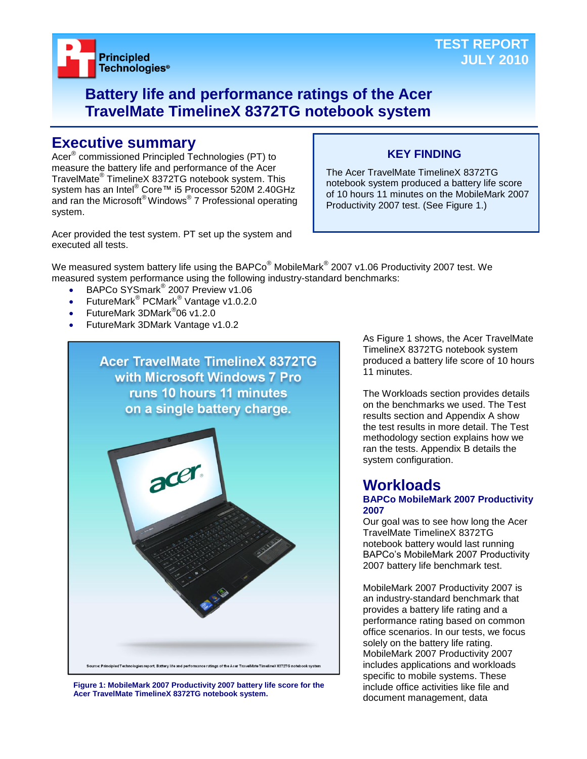

## **Battery life and performance ratings of the Acer TravelMate TimelineX 8372TG notebook system**

## **Executive summary**

Acer® commissioned Principled Technologies (PT) to measure the battery life and performance of the Acer TravelMate® TimelineX 8372TG notebook system. This system has an Intel<sup>®</sup> Core™ i5 Processor 520M 2.40GHz and ran the Microsoft® Windows® 7 Professional operating system.

## **KEY FINDING**

The Acer TravelMate TimelineX 8372TG notebook system produced a battery life score of 10 hours 11 minutes on the MobileMark 2007 Productivity 2007 test. (See Figure 1.)

Acer provided the test system. PT set up the system and executed all tests.

We measured system battery life using the BAPCo $^\circ$  MobileMark $^\circ$  2007 v1.06 Productivity 2007 test. We measured system performance using the following industry-standard benchmarks:

- BAPCo SYSmark<sup>®</sup> 2007 Preview v1.06
- FutureMark<sup>®</sup> PCMark<sup>®</sup> Vantage v1.0.2.0
- FutureMark 3DMark<sup>®</sup>06 v1.2.0
- FutureMark 3DMark Vantage v1.0.2



**Figure 1: MobileMark 2007 Productivity 2007 battery life score for the Acer TravelMate TimelineX 8372TG notebook system.**

As Figure 1 shows, the Acer TravelMate TimelineX 8372TG notebook system produced a battery life score of 10 hours 11 minutes.

The Workloads section provides details on the benchmarks we used. The Test results section and Appendix A show the test results in more detail. The Test methodology section explains how we ran the tests. Appendix B details the system configuration.

## **Workloads**

## **BAPCo MobileMark 2007 Productivity 2007**

Our goal was to see how long the Acer TravelMate TimelineX 8372TG notebook battery would last running BAPCo's MobileMark 2007 Productivity 2007 battery life benchmark test.

MobileMark 2007 Productivity 2007 is an industry-standard benchmark that provides a battery life rating and a performance rating based on common office scenarios. In our tests, we focus solely on the battery life rating. MobileMark 2007 Productivity 2007 includes applications and workloads specific to mobile systems. These include office activities like file and document management, data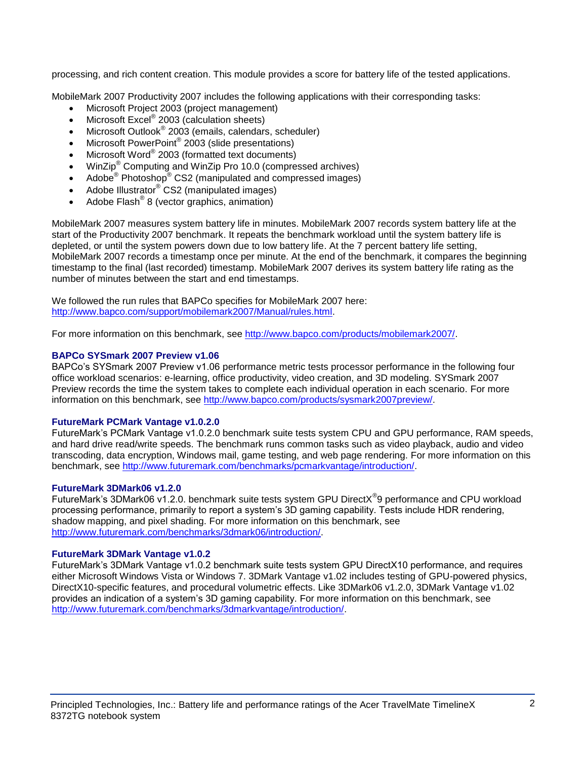processing, and rich content creation. This module provides a score for battery life of the tested applications.

MobileMark 2007 Productivity 2007 includes the following applications with their corresponding tasks:

- Microsoft Project 2003 (project management)
- $\bullet$  Microsoft Excel® 2003 (calculation sheets)
- Microsoft Outlook<sup>®</sup> 2003 (emails, calendars, scheduler)
- Microsoft PowerPoint® 2003 (slide presentations)
- Microsoft Word® 2003 (formatted text documents)
- WinZip® Computing and WinZip Pro 10.0 (compressed archives)
- Adobe<sup>®</sup> Photoshop<sup>®</sup> CS2 (manipulated and compressed images)
- Adobe Illustrator® CS2 (manipulated images)
- $\bullet$  Adobe Flash<sup>®</sup> 8 (vector graphics, animation)

MobileMark 2007 measures system battery life in minutes. MobileMark 2007 records system battery life at the start of the Productivity 2007 benchmark. It repeats the benchmark workload until the system battery life is depleted, or until the system powers down due to low battery life. At the 7 percent battery life setting, MobileMark 2007 records a timestamp once per minute. At the end of the benchmark, it compares the beginning timestamp to the final (last recorded) timestamp. MobileMark 2007 derives its system battery life rating as the number of minutes between the start and end timestamps.

We followed the run rules that BAPCo specifies for MobileMark 2007 here: [http://www.bapco.com/support/mobilemark2007/Manual/rules.html.](http://www.bapco.com/support/mobilemark2007/Manual/rules.html)

For more information on this benchmark, see [http://www.bapco.com/products/mobilemark2007/.](http://www.bapco.com/products/mobilemark2007/)

## **BAPCo SYSmark 2007 Preview v1.06**

BAPCo's SYSmark 2007 Preview v1.06 performance metric tests processor performance in the following four office workload scenarios: e-learning, office productivity, video creation, and 3D modeling. SYSmark 2007 Preview records the time the system takes to complete each individual operation in each scenario. For more information on this benchmark, see [http://www.bapco.com/products/sysmark2007preview/.](http://www.bapco.com/products/sysmark2007preview/)

## **FutureMark PCMark Vantage v1.0.2.0**

FutureMark's PCMark Vantage v1.0.2.0 benchmark suite tests system CPU and GPU performance, RAM speeds, and hard drive read/write speeds. The benchmark runs common tasks such as video playback, audio and video transcoding, data encryption, Windows mail, game testing, and web page rendering. For more information on this benchmark, see [http://www.futuremark.com/benchmarks/pcmarkvantage/introduction/.](http://www.futuremark.com/benchmarks/pcmarkvantage/introduction/)

## **FutureMark 3DMark06 v1.2.0**

FutureMark's 3DMark06 v1.2.0. benchmark suite tests system GPU DirectX<sup>®</sup>9 performance and CPU workload processing performance, primarily to report a system's 3D gaming capability. Tests include HDR rendering, shadow mapping, and pixel shading. For more information on this benchmark, see [http://www.futuremark.com/benchmarks/3dmark06/introduction/.](http://www.futuremark.com/benchmarks/3dmark06/introduction/)

## **FutureMark 3DMark Vantage v1.0.2**

FutureMark's 3DMark Vantage v1.0.2 benchmark suite tests system GPU DirectX10 performance, and requires either Microsoft Windows Vista or Windows 7. 3DMark Vantage v1.02 includes testing of GPU-powered physics, DirectX10-specific features, and procedural volumetric effects. Like 3DMark06 v1.2.0, 3DMark Vantage v1.02 provides an indication of a system's 3D gaming capability. For more information on this benchmark, see [http://www.futuremark.com/benchmarks/3dmarkvantage/introduction/.](http://www.futuremark.com/benchmarks/3dmarkvantage/introduction/)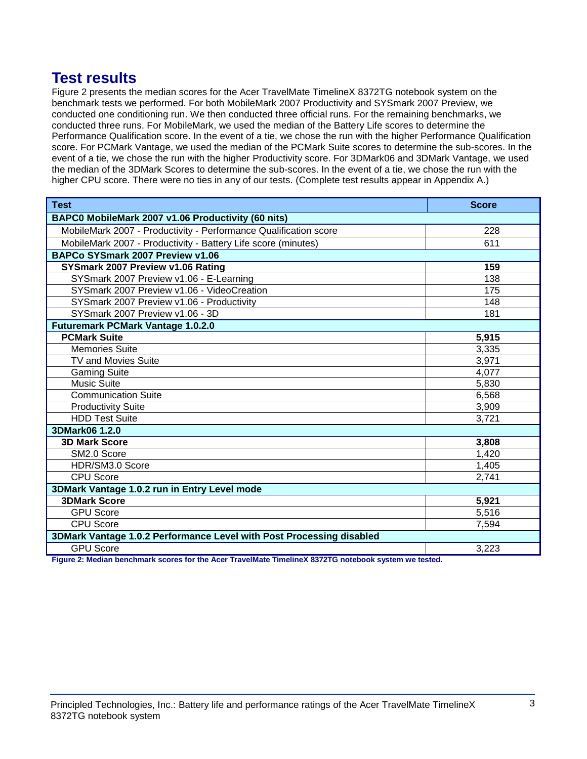## **Test results**

Figure 2 presents the median scores for the Acer TravelMate TimelineX 8372TG notebook system on the benchmark tests we performed. For both MobileMark 2007 Productivity and SYSmark 2007 Preview, we conducted one conditioning run. We then conducted three official runs. For the remaining benchmarks, we conducted three runs. For MobileMark, we used the median of the Battery Life scores to determine the Performance Qualification score. In the event of a tie, we chose the run with the higher Performance Qualification score. For PCMark Vantage, we used the median of the PCMark Suite scores to determine the sub-scores. In the event of a tie, we chose the run with the higher Productivity score. For 3DMark06 and 3DMark Vantage, we used the median of the 3DMark Scores to determine the sub-scores. In the event of a tie, we chose the run with the higher CPU score. There were no ties in any of our tests. (Complete test results appear in Appendix A.)

| <b>Test</b>                                                                                                                                                                            | <b>Score</b> |  |
|----------------------------------------------------------------------------------------------------------------------------------------------------------------------------------------|--------------|--|
| BAPC0 MobileMark 2007 v1.06 Productivity (60 nits)                                                                                                                                     |              |  |
| MobileMark 2007 - Productivity - Performance Qualification score                                                                                                                       | 228          |  |
| MobileMark 2007 - Productivity - Battery Life score (minutes)                                                                                                                          | 611          |  |
| BAPCo SYSmark 2007 Preview v1.06                                                                                                                                                       |              |  |
| SYSmark 2007 Preview v1.06 Rating                                                                                                                                                      | 159          |  |
| SYSmark 2007 Preview v1.06 - E-Learning                                                                                                                                                | 138          |  |
| SYSmark 2007 Preview v1.06 - VideoCreation                                                                                                                                             | 175          |  |
| SYSmark 2007 Preview v1.06 - Productivity                                                                                                                                              | 148          |  |
| SYSmark 2007 Preview v1.06 - 3D                                                                                                                                                        | 181          |  |
| <b>Futuremark PCMark Vantage 1.0.2.0</b>                                                                                                                                               |              |  |
| <b>PCMark Suite</b>                                                                                                                                                                    | 5,915        |  |
| <b>Memories Suite</b>                                                                                                                                                                  | 3,335        |  |
| TV and Movies Suite                                                                                                                                                                    | 3,971        |  |
| <b>Gaming Suite</b>                                                                                                                                                                    | 4,077        |  |
| <b>Music Suite</b>                                                                                                                                                                     | 5,830        |  |
| <b>Communication Suite</b>                                                                                                                                                             | 6,568        |  |
| <b>Productivity Suite</b>                                                                                                                                                              | 3,909        |  |
| <b>HDD Test Suite</b>                                                                                                                                                                  | 3,721        |  |
| 3DMark06 1.2.0                                                                                                                                                                         |              |  |
| <b>3D Mark Score</b>                                                                                                                                                                   | 3,808        |  |
| SM2.0 Score                                                                                                                                                                            | 1,420        |  |
| HDR/SM3.0 Score                                                                                                                                                                        | 1,405        |  |
| <b>CPU Score</b>                                                                                                                                                                       | 2,741        |  |
| 3DMark Vantage 1.0.2 run in Entry Level mode                                                                                                                                           |              |  |
| <b>3DMark Score</b>                                                                                                                                                                    | 5,921        |  |
| <b>GPU Score</b>                                                                                                                                                                       | 5,516        |  |
| CPU Score                                                                                                                                                                              | 7,594        |  |
| 3DMark Vantage 1.0.2 Performance Level with Post Processing disabled                                                                                                                   |              |  |
| <b>GPU Score</b><br><b>THE REAL TIME IN A CONCRETE</b><br><b>Photography Control Advisory Inc.</b><br>$\mathbf{r}$ and $\mathbf{r}$ and $\mathbf{r}$ and $\mathbf{r}$ and $\mathbf{r}$ | 3,223        |  |

**Figure 2: Median benchmark scores for the Acer TravelMate TimelineX 8372TG notebook system we tested.**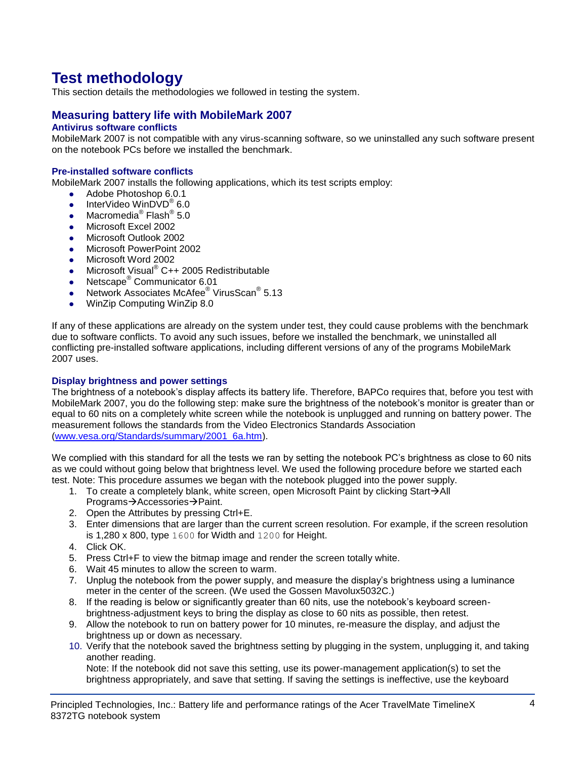# **Test methodology**

This section details the methodologies we followed in testing the system.

## **Measuring battery life with MobileMark 2007**

## **Antivirus software conflicts**

MobileMark 2007 is not compatible with any virus-scanning software, so we uninstalled any such software present on the notebook PCs before we installed the benchmark.

## **Pre-installed software conflicts**

MobileMark 2007 installs the following applications, which its test scripts employ:

- Adobe Photoshop 6.0.1
- InterVideo WinDVD $^{\circ}$  6.0
- Macromedia® Flash® 5.0
- Microsoft Excel 2002
- Microsoft Outlook 2002
- **Microsoft PowerPoint 2002**
- Microsoft Word 2002
- Microsoft Visual<sup>®</sup> C++ 2005 Redistributable
- Netscape<sup>®</sup> Communicator 6.01
- Network Associates McAfee<sup>®</sup> VirusScan<sup>®</sup> 5.13
- WinZip Computing WinZip 8.0

If any of these applications are already on the system under test, they could cause problems with the benchmark due to software conflicts. To avoid any such issues, before we installed the benchmark, we uninstalled all conflicting pre-installed software applications, including different versions of any of the programs MobileMark 2007 uses.

#### **Display brightness and power settings**

The brightness of a notebook's display affects its battery life. Therefore, BAPCo requires that, before you test with MobileMark 2007, you do the following step: make sure the brightness of the notebook's monitor is greater than or equal to 60 nits on a completely white screen while the notebook is unplugged and running on battery power. The measurement follows the standards from the Video Electronics Standards Association [\(www.vesa.org/Standards/summary/2001\\_6a.htm\)](http://www.vesa.org/Standards/summary/2001_6a.htm).

We complied with this standard for all the tests we ran by setting the notebook PC's brightness as close to 60 nits as we could without going below that brightness level. We used the following procedure before we started each test. Note: This procedure assumes we began with the notebook plugged into the power supply.

- 1. To create a completely blank, white screen, open Microsoft Paint by clicking Start $\rightarrow$ All Programs→Accessories→Paint.
- 2. Open the Attributes by pressing Ctrl+E.
- 3. Enter dimensions that are larger than the current screen resolution. For example, if the screen resolution is 1,280 x 800, type 1600 for Width and 1200 for Height.
- 4. Click OK.
- 5. Press Ctrl+F to view the bitmap image and render the screen totally white.
- 6. Wait 45 minutes to allow the screen to warm.
- 7. Unplug the notebook from the power supply, and measure the display's brightness using a luminance meter in the center of the screen. (We used the Gossen Mavolux5032C.)
- 8. If the reading is below or significantly greater than 60 nits, use the notebook's keyboard screenbrightness-adjustment keys to bring the display as close to 60 nits as possible, then retest.
- 9. Allow the notebook to run on battery power for 10 minutes, re-measure the display, and adjust the brightness up or down as necessary.
- 10. Verify that the notebook saved the brightness setting by plugging in the system, unplugging it, and taking another reading.

Note: If the notebook did not save this setting, use its power-management application(s) to set the brightness appropriately, and save that setting. If saving the settings is ineffective, use the keyboard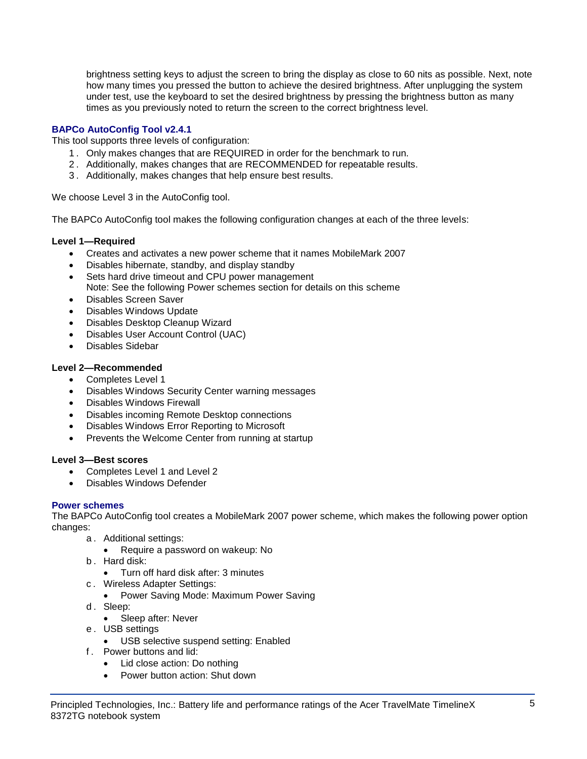brightness setting keys to adjust the screen to bring the display as close to 60 nits as possible. Next, note how many times you pressed the button to achieve the desired brightness. After unplugging the system under test, use the keyboard to set the desired brightness by pressing the brightness button as many times as you previously noted to return the screen to the correct brightness level.

## **BAPCo AutoConfig Tool v2.4.1**

This tool supports three levels of configuration:

- 1 . Only makes changes that are REQUIRED in order for the benchmark to run.
- 2 . Additionally, makes changes that are RECOMMENDED for repeatable results.
- 3 . Additionally, makes changes that help ensure best results.

We choose Level 3 in the AutoConfig tool.

The BAPCo AutoConfig tool makes the following configuration changes at each of the three levels:

## **Level 1—Required**

- Creates and activates a new power scheme that it names MobileMark 2007
- Disables hibernate, standby, and display standby
- Sets hard drive timeout and CPU power management Note: See the following Power schemes section for details on this scheme
- Disables Screen Saver
- Disables Windows Update
- Disables Desktop Cleanup Wizard
- Disables User Account Control (UAC)
- Disables Sidebar

## **Level 2—Recommended**

- Completes Level 1
- Disables Windows Security Center warning messages
- Disables Windows Firewall
- Disables incoming Remote Desktop connections
- Disables Windows Error Reporting to Microsoft
- Prevents the Welcome Center from running at startup

## **Level 3—Best scores**

- Completes Level 1 and Level 2
- Disables Windows Defender

## **Power schemes**

The BAPCo AutoConfig tool creates a MobileMark 2007 power scheme, which makes the following power option changes:

- a . Additional settings:
	- Require a password on wakeup: No
- b . Hard disk:
	- Turn off hard disk after: 3 minutes
- c . Wireless Adapter Settings:
	- Power Saving Mode: Maximum Power Saving
- d. Sleep:
	- Sleep after: Never
- e . USB settings
	- USB selective suspend setting: Enabled
- f . Power buttons and lid:
	- Lid close action: Do nothing
	- Power button action: Shut down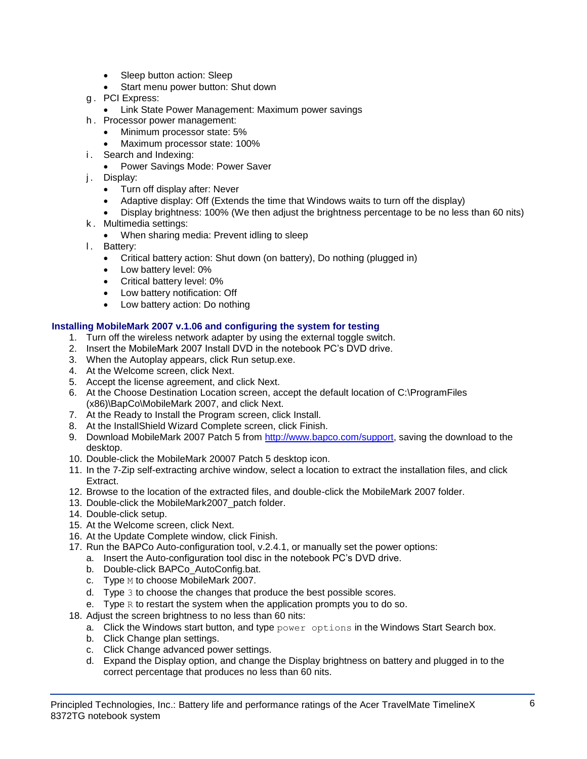- Sleep button action: Sleep
- Start menu power button: Shut down
- g . PCI Express:
	- **Link State Power Management: Maximum power savings**
- h . Processor power management:
	- Minimum processor state: 5%
	- Maximum processor state: 100%
- i. Search and Indexing:
	- Power Savings Mode: Power Saver
- j. Display:
	- Turn off display after: Never
	- Adaptive display: Off (Extends the time that Windows waits to turn off the display)
	- Display brightness: 100% (We then adjust the brightness percentage to be no less than 60 nits)
- k . Multimedia settings:
	- When sharing media: Prevent idling to sleep
- l. Battery:
	- Critical battery action: Shut down (on battery), Do nothing (plugged in)
	- Low battery level: 0%
	- Critical battery level: 0%
	- Low battery notification: Off
	- Low battery action: Do nothing

## **Installing MobileMark 2007 v.1.06 and configuring the system for testing**

- 1. Turn off the wireless network adapter by using the external toggle switch.
- 2. Insert the MobileMark 2007 Install DVD in the notebook PC's DVD drive.
- 3. When the Autoplay appears, click Run setup.exe.
- 4. At the Welcome screen, click Next.
- 5. Accept the license agreement, and click Next.
- 6. At the Choose Destination Location screen, accept the default location of C:\ProgramFiles (x86)\BapCo\MobileMark 2007, and click Next.
- 7. At the Ready to Install the Program screen, click Install.
- 8. At the InstallShield Wizard Complete screen, click Finish.
- 9. Download MobileMark 2007 Patch 5 from [http://www.bapco.com/support,](http://www.bapco.com/support) saving the download to the desktop.
- 10. Double-click the MobileMark 20007 Patch 5 desktop icon.
- 11. In the 7-Zip self-extracting archive window, select a location to extract the installation files, and click Extract.
- 12. Browse to the location of the extracted files, and double-click the MobileMark 2007 folder.
- 13. Double-click the MobileMark2007\_patch folder.
- 14. Double-click setup.
- 15. At the Welcome screen, click Next.
- 16. At the Update Complete window, click Finish.
- 17. Run the BAPCo Auto-configuration tool, v.2.4.1, or manually set the power options:
	- a. Insert the Auto-configuration tool disc in the notebook PC's DVD drive.
	- b. Double-click BAPCo\_AutoConfig.bat.
	- c. Type M to choose MobileMark 2007.
	- d. Type 3 to choose the changes that produce the best possible scores.
	- e. Type  $R$  to restart the system when the application prompts you to do so.
- 18. Adjust the screen brightness to no less than 60 nits:
	- a. Click the Windows start button, and type  $power$  options in the Windows Start Search box.
	- b. Click Change plan settings.
	- c. Click Change advanced power settings.
	- d. Expand the Display option, and change the Display brightness on battery and plugged in to the correct percentage that produces no less than 60 nits.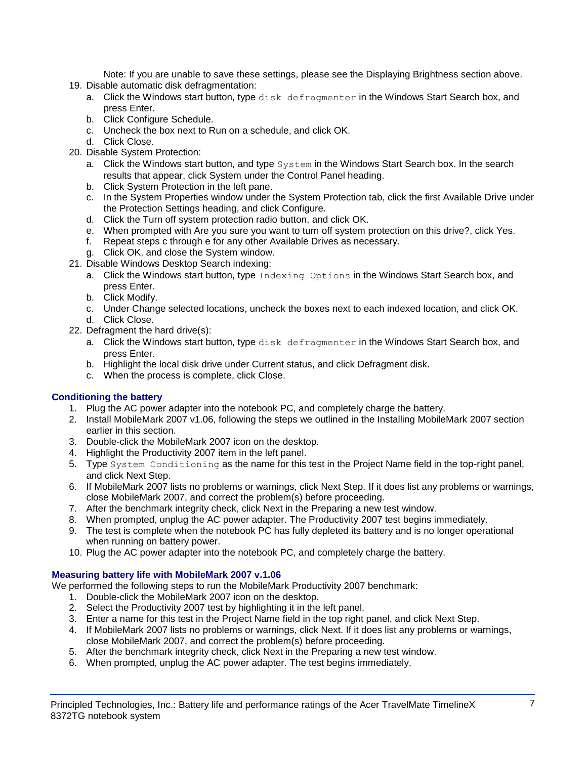Note: If you are unable to save these settings, please see the Displaying Brightness section above.

- 19. Disable automatic disk defragmentation:
	- a. Click the Windows start button, type disk defragmenter in the Windows Start Search box, and press Enter.
	- b. Click Configure Schedule.
	- c. Uncheck the box next to Run on a schedule, and click OK.
	- d. Click Close.
- 20. Disable System Protection:
	- a. Click the Windows start button, and type System in the Windows Start Search box. In the search results that appear, click System under the Control Panel heading.
	- b. Click System Protection in the left pane.
	- c. In the System Properties window under the System Protection tab, click the first Available Drive under the Protection Settings heading, and click Configure.
	- d. Click the Turn off system protection radio button, and click OK.
	- e. When prompted with Are you sure you want to turn off system protection on this drive?, click Yes.
	- f. Repeat steps c through e for any other Available Drives as necessary.
	- g. Click OK, and close the System window.
- 21. Disable Windows Desktop Search indexing:
	- a. Click the Windows start button, type Indexing Options in the Windows Start Search box, and press Enter.
	- b. Click Modify.
	- c. Under Change selected locations, uncheck the boxes next to each indexed location, and click OK. d. Click Close.
- 22. Defragment the hard drive(s):
	- a. Click the Windows start button, type disk defragmenter in the Windows Start Search box, and press Enter.
	- b. Highlight the local disk drive under Current status, and click Defragment disk.
	- c. When the process is complete, click Close.

## **Conditioning the battery**

- 1. Plug the AC power adapter into the notebook PC, and completely charge the battery.
- 2. Install MobileMark 2007 v1.06, following the steps we outlined in the Installing MobileMark 2007 section earlier in this section.
- 3. Double-click the MobileMark 2007 icon on the desktop.
- 4. Highlight the Productivity 2007 item in the left panel.
- 5. Type System Conditioning as the name for this test in the Project Name field in the top-right panel, and click Next Step.
- 6. If MobileMark 2007 lists no problems or warnings, click Next Step. If it does list any problems or warnings, close MobileMark 2007, and correct the problem(s) before proceeding.
- 7. After the benchmark integrity check, click Next in the Preparing a new test window.
- 8. When prompted, unplug the AC power adapter. The Productivity 2007 test begins immediately.
- 9. The test is complete when the notebook PC has fully depleted its battery and is no longer operational when running on battery power.
- 10. Plug the AC power adapter into the notebook PC, and completely charge the battery.

## **Measuring battery life with MobileMark 2007 v.1.06**

We performed the following steps to run the MobileMark Productivity 2007 benchmark:

- 1. Double-click the MobileMark 2007 icon on the desktop.
- 2. Select the Productivity 2007 test by highlighting it in the left panel.
- 3. Enter a name for this test in the Project Name field in the top right panel, and click Next Step.
- 4. If MobileMark 2007 lists no problems or warnings, click Next. If it does list any problems or warnings, close MobileMark 2007, and correct the problem(s) before proceeding.
- 5. After the benchmark integrity check, click Next in the Preparing a new test window.
- 6. When prompted, unplug the AC power adapter. The test begins immediately.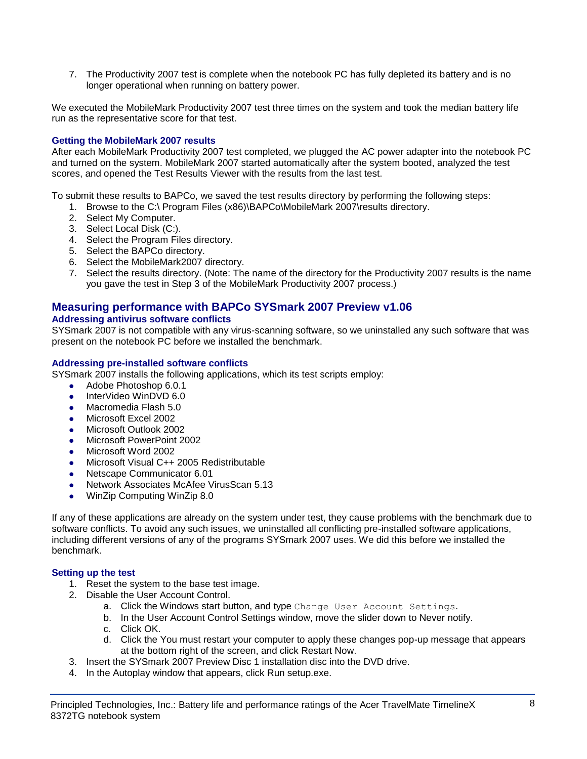7. The Productivity 2007 test is complete when the notebook PC has fully depleted its battery and is no longer operational when running on battery power.

We executed the MobileMark Productivity 2007 test three times on the system and took the median battery life run as the representative score for that test.

## **Getting the MobileMark 2007 results**

After each MobileMark Productivity 2007 test completed, we plugged the AC power adapter into the notebook PC and turned on the system. MobileMark 2007 started automatically after the system booted, analyzed the test scores, and opened the Test Results Viewer with the results from the last test.

To submit these results to BAPCo, we saved the test results directory by performing the following steps:

- 1. Browse to the C:\ Program Files (x86)\BAPCo\MobileMark 2007\results directory.
- 2. Select My Computer.
- 3. Select Local Disk (C:).
- 4. Select the Program Files directory.
- 5. Select the BAPCo directory.
- 6. Select the MobileMark2007 directory.
- 7. Select the results directory. (Note: The name of the directory for the Productivity 2007 results is the name you gave the test in Step 3 of the MobileMark Productivity 2007 process.)

## **Measuring performance with BAPCo SYSmark 2007 Preview v1.06**

#### **Addressing antivirus software conflicts**

SYSmark 2007 is not compatible with any virus-scanning software, so we uninstalled any such software that was present on the notebook PC before we installed the benchmark.

#### **Addressing pre-installed software conflicts**

SYSmark 2007 installs the following applications, which its test scripts employ:

- Adobe Photoshop 6.0.1
- InterVideo WinDVD 6.0
- Macromedia Flash 5.0
- Microsoft Excel 2002
- Microsoft Outlook 2002
- Microsoft PowerPoint 2002
- Microsoft Word 2002
- Microsoft Visual C++ 2005 Redistributable
- Netscape Communicator 6.01
- Network Associates McAfee VirusScan 5.13
- WinZip Computing WinZip 8.0

If any of these applications are already on the system under test, they cause problems with the benchmark due to software conflicts. To avoid any such issues, we uninstalled all conflicting pre-installed software applications, including different versions of any of the programs SYSmark 2007 uses. We did this before we installed the benchmark.

#### **Setting up the test**

- 1. Reset the system to the base test image.
- 2. Disable the User Account Control.
	- a. Click the Windows start button, and type Change User Account Settings.
	- b. In the User Account Control Settings window, move the slider down to Never notify.
	- c. Click OK.
	- d. Click the You must restart your computer to apply these changes pop-up message that appears at the bottom right of the screen, and click Restart Now.
- 3. Insert the SYSmark 2007 Preview Disc 1 installation disc into the DVD drive.
- 4. In the Autoplay window that appears, click Run setup.exe.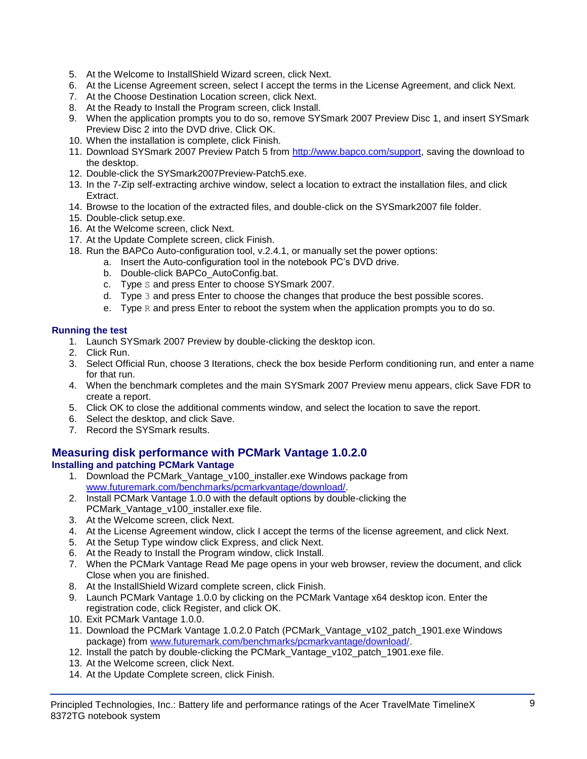- 5. At the Welcome to InstallShield Wizard screen, click Next.
- 6. At the License Agreement screen, select I accept the terms in the License Agreement, and click Next.
- 7. At the Choose Destination Location screen, click Next.
- 8. At the Ready to Install the Program screen, click Install.
- 9. When the application prompts you to do so, remove SYSmark 2007 Preview Disc 1, and insert SYSmark Preview Disc 2 into the DVD drive. Click OK.
- 10. When the installation is complete, click Finish.
- 11. Download SYSmark 2007 Preview Patch 5 from [http://www.bapco.com/support,](http://www.bapco.com/support) saving the download to the desktop.
- 12. Double-click the SYSmark2007Preview-Patch5.exe.
- 13. In the 7-Zip self-extracting archive window, select a location to extract the installation files, and click Extract.
- 14. Browse to the location of the extracted files, and double-click on the SYSmark2007 file folder.
- 15. Double-click setup.exe.
- 16. At the Welcome screen, click Next.
- 17. At the Update Complete screen, click Finish.
- 18. Run the BAPCo Auto-configuration tool, v.2.4.1, or manually set the power options:
	- a. Insert the Auto-configuration tool in the notebook PC's DVD drive.
		- b. Double-click BAPCo\_AutoConfig.bat.
		- c. Type S and press Enter to choose SYSmark 2007.
		- d. Type 3 and press Enter to choose the changes that produce the best possible scores.
		- e. Type  $R$  and press Enter to reboot the system when the application prompts you to do so.

## **Running the test**

- 1. Launch SYSmark 2007 Preview by double-clicking the desktop icon.
- 2. Click Run.
- 3. Select Official Run, choose 3 Iterations, check the box beside Perform conditioning run, and enter a name for that run.
- 4. When the benchmark completes and the main SYSmark 2007 Preview menu appears, click Save FDR to create a report.
- 5. Click OK to close the additional comments window, and select the location to save the report.
- 6. Select the desktop, and click Save.
- 7. Record the SYSmark results.

## **Measuring disk performance with PCMark Vantage 1.0.2.0**

## **Installing and patching PCMark Vantage**

- 1. Download the PCMark Vantage v100 installer.exe Windows package from [www.futuremark.com/benchmarks/pcmarkvantage/download/.](http://www.futuremark.com/benchmarks/pcmarkvantage/download/)
- 2. Install PCMark Vantage 1.0.0 with the default options by double-clicking the PCMark\_Vantage\_v100\_installer.exe file.
- 3. At the Welcome screen, click Next.
- 4. At the License Agreement window, click I accept the terms of the license agreement, and click Next.
- 5. At the Setup Type window click Express, and click Next.
- 6. At the Ready to Install the Program window, click Install.
- 7. When the PCMark Vantage Read Me page opens in your web browser, review the document, and click Close when you are finished.
- 8. At the InstallShield Wizard complete screen, click Finish.
- 9. Launch PCMark Vantage 1.0.0 by clicking on the PCMark Vantage x64 desktop icon. Enter the registration code, click Register, and click OK.
- 10. Exit PCMark Vantage 1.0.0.
- 11. Download the PCMark Vantage 1.0.2.0 Patch (PCMark\_Vantage\_v102\_patch\_1901.exe Windows package) from [www.futuremark.com/benchmarks/pcmarkvantage/download/.](http://www.futuremark.com/benchmarks/pcmarkvantage/download/)
- 12. Install the patch by double-clicking the PCMark\_Vantage\_v102\_patch\_1901.exe file.
- 13. At the Welcome screen, click Next.
- 14. At the Update Complete screen, click Finish.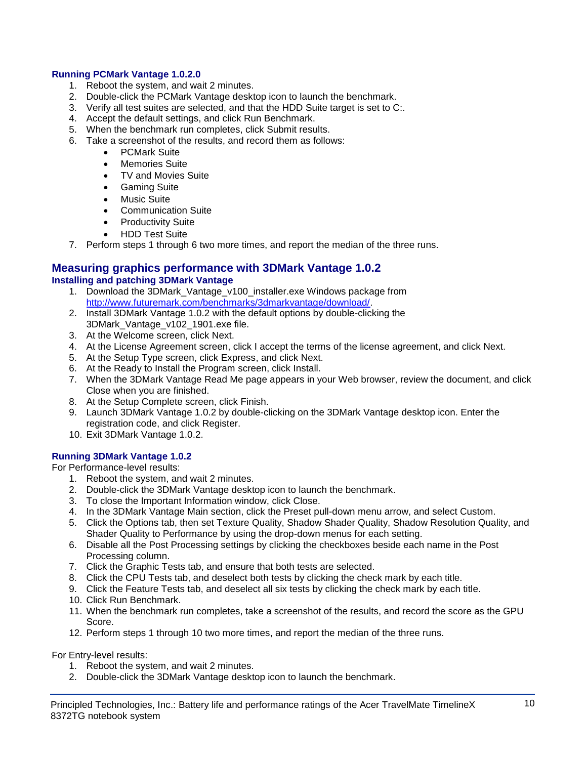## **Running PCMark Vantage 1.0.2.0**

- 1. Reboot the system, and wait 2 minutes.
- 2. Double-click the PCMark Vantage desktop icon to launch the benchmark.
- 3. Verify all test suites are selected, and that the HDD Suite target is set to C:.
- 4. Accept the default settings, and click Run Benchmark.
- 5. When the benchmark run completes, click Submit results.
- 6. Take a screenshot of the results, and record them as follows:
	- PCMark Suite
	- Memories Suite
	- TV and Movies Suite
	- **•** Gaming Suite
	- Music Suite
	- Communication Suite
	- Productivity Suite
	- HDD Test Suite
- 7. Perform steps 1 through 6 two more times, and report the median of the three runs.

#### **Measuring graphics performance with 3DMark Vantage 1.0.2 Installing and patching 3DMark Vantage**

- 1. Download the 3DMark Vantage v100 installer.exe Windows package from [http://www.futuremark.com/benchmarks/3dmarkvantage/download/.](http://www.futuremark.com/benchmarks/3dmarkvantage/download/)
- 2. Install 3DMark Vantage 1.0.2 with the default options by double-clicking the 3DMark\_Vantage\_v102\_1901.exe file.
- 3. At the Welcome screen, click Next.
- 4. At the License Agreement screen, click I accept the terms of the license agreement, and click Next.
- 5. At the Setup Type screen, click Express, and click Next.
- 6. At the Ready to Install the Program screen, click Install.
- 7. When the 3DMark Vantage Read Me page appears in your Web browser, review the document, and click Close when you are finished.
- 8. At the Setup Complete screen, click Finish.
- 9. Launch 3DMark Vantage 1.0.2 by double-clicking on the 3DMark Vantage desktop icon. Enter the registration code, and click Register.
- 10. Exit 3DMark Vantage 1.0.2.

## **Running 3DMark Vantage 1.0.2**

For Performance-level results:

- 1. Reboot the system, and wait 2 minutes.
- 2. Double-click the 3DMark Vantage desktop icon to launch the benchmark.
- 3. To close the Important Information window, click Close.
- 4. In the 3DMark Vantage Main section, click the Preset pull-down menu arrow, and select Custom.
- 5. Click the Options tab, then set Texture Quality, Shadow Shader Quality, Shadow Resolution Quality, and Shader Quality to Performance by using the drop-down menus for each setting.
- 6. Disable all the Post Processing settings by clicking the checkboxes beside each name in the Post Processing column.
- 7. Click the Graphic Tests tab, and ensure that both tests are selected.
- 8. Click the CPU Tests tab, and deselect both tests by clicking the check mark by each title.
- 9. Click the Feature Tests tab, and deselect all six tests by clicking the check mark by each title.
- 10. Click Run Benchmark.
- 11. When the benchmark run completes, take a screenshot of the results, and record the score as the GPU Score.
- 12. Perform steps 1 through 10 two more times, and report the median of the three runs.

For Entry-level results:

- 1. Reboot the system, and wait 2 minutes.
- 2. Double-click the 3DMark Vantage desktop icon to launch the benchmark.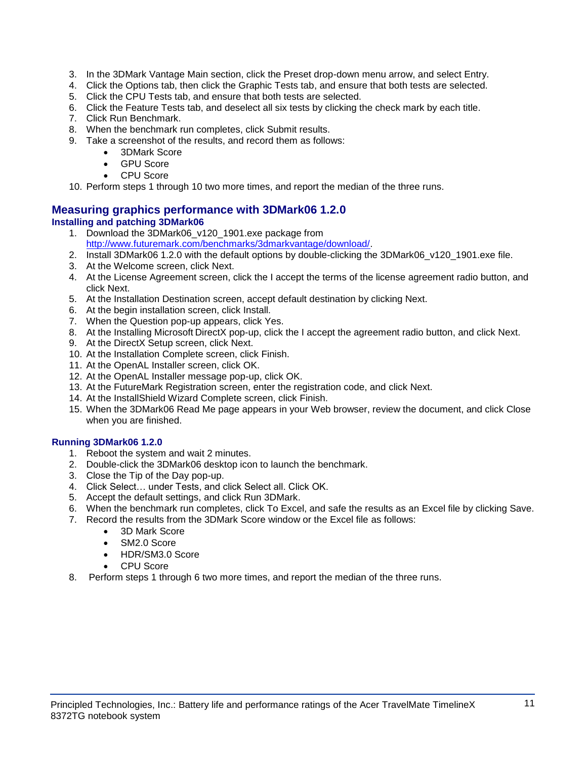- 3. In the 3DMark Vantage Main section, click the Preset drop-down menu arrow, and select Entry.
- 4. Click the Options tab, then click the Graphic Tests tab, and ensure that both tests are selected.
- 5. Click the CPU Tests tab, and ensure that both tests are selected.
- 6. Click the Feature Tests tab, and deselect all six tests by clicking the check mark by each title.
- 7. Click Run Benchmark.
- 8. When the benchmark run completes, click Submit results.
- 9. Take a screenshot of the results, and record them as follows:
	- 3DMark Score
	- GPU Score
	- CPU Score
- 10. Perform steps 1 through 10 two more times, and report the median of the three runs.

## **Measuring graphics performance with 3DMark06 1.2.0 Installing and patching 3DMark06**

- 1. Download the 3DMark06 v120 1901.exe package from [http://www.futuremark.com/benchmarks/3dmarkvantage/download/.](http://www.futuremark.com/benchmarks/3dmarkvantage/download/)
- 2. Install 3DMark06 1.2.0 with the default options by double-clicking the 3DMark06\_v120\_1901.exe file.
- 3. At the Welcome screen, click Next.
- 4. At the License Agreement screen, click the I accept the terms of the license agreement radio button, and click Next.
- 5. At the Installation Destination screen, accept default destination by clicking Next.
- 6. At the begin installation screen, click Install.
- 7. When the Question pop-up appears, click Yes.
- 8. At the Installing Microsoft DirectX pop-up, click the I accept the agreement radio button, and click Next.
- 9. At the DirectX Setup screen, click Next.
- 10. At the Installation Complete screen, click Finish.
- 11. At the OpenAL Installer screen, click OK.
- 12. At the OpenAL Installer message pop-up, click OK.
- 13. At the FutureMark Registration screen, enter the registration code, and click Next.
- 14. At the InstallShield Wizard Complete screen, click Finish.
- 15. When the 3DMark06 Read Me page appears in your Web browser, review the document, and click Close when you are finished.

## **Running 3DMark06 1.2.0**

- 1. Reboot the system and wait 2 minutes.
- 2. Double-click the 3DMark06 desktop icon to launch the benchmark.
- 3. Close the Tip of the Day pop-up.
- 4. Click Select… under Tests, and click Select all. Click OK.
- 5. Accept the default settings, and click Run 3DMark.
- 6. When the benchmark run completes, click To Excel, and safe the results as an Excel file by clicking Save.
- 7. Record the results from the 3DMark Score window or the Excel file as follows:
	- 3D Mark Score
	- SM2.0 Score
	- HDR/SM3.0 Score
	- CPU Score
- 8. Perform steps 1 through 6 two more times, and report the median of the three runs.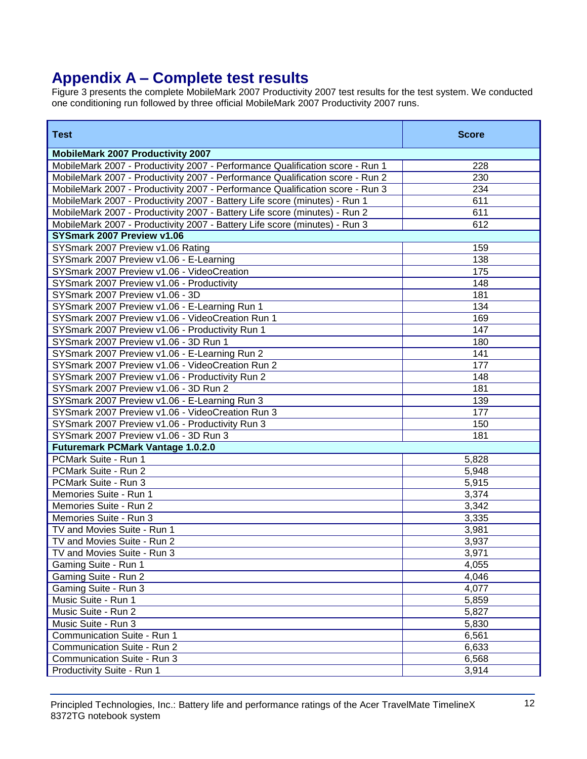# **Appendix A – Complete test results**

Figure 3 presents the complete MobileMark 2007 Productivity 2007 test results for the test system. We conducted one conditioning run followed by three official MobileMark 2007 Productivity 2007 runs.

| <b>Test</b>                                                                   | <b>Score</b> |
|-------------------------------------------------------------------------------|--------------|
| <b>MobileMark 2007 Productivity 2007</b>                                      |              |
| MobileMark 2007 - Productivity 2007 - Performance Qualification score - Run 1 | 228          |
| MobileMark 2007 - Productivity 2007 - Performance Qualification score - Run 2 | 230          |
| MobileMark 2007 - Productivity 2007 - Performance Qualification score - Run 3 | 234          |
| MobileMark 2007 - Productivity 2007 - Battery Life score (minutes) - Run 1    | 611          |
| MobileMark 2007 - Productivity 2007 - Battery Life score (minutes) - Run 2    | 611          |
| MobileMark 2007 - Productivity 2007 - Battery Life score (minutes) - Run 3    | 612          |
| SYSmark 2007 Preview v1.06                                                    |              |
| SYSmark 2007 Preview v1.06 Rating                                             | 159          |
| SYSmark 2007 Preview v1.06 - E-Learning                                       | 138          |
| SYSmark 2007 Preview v1.06 - VideoCreation                                    | 175          |
| SYSmark 2007 Preview v1.06 - Productivity                                     | 148          |
| SYSmark 2007 Preview v1.06 - 3D                                               | 181          |
| SYSmark 2007 Preview v1.06 - E-Learning Run 1                                 | 134          |
| SYSmark 2007 Preview v1.06 - VideoCreation Run 1                              | 169          |
| SYSmark 2007 Preview v1.06 - Productivity Run 1                               | 147          |
| SYSmark 2007 Preview v1.06 - 3D Run 1                                         | 180          |
| SYSmark 2007 Preview v1.06 - E-Learning Run 2                                 | 141          |
| SYSmark 2007 Preview v1.06 - VideoCreation Run 2                              | 177          |
| SYSmark 2007 Preview v1.06 - Productivity Run 2                               | 148          |
| SYSmark 2007 Preview v1.06 - 3D Run 2                                         | 181          |
| SYSmark 2007 Preview v1.06 - E-Learning Run 3                                 | 139          |
| SYSmark 2007 Preview v1.06 - VideoCreation Run 3                              | 177          |
| SYSmark 2007 Preview v1.06 - Productivity Run 3                               | 150          |
| SYSmark 2007 Preview v1.06 - 3D Run 3                                         | 181          |
| <b>Futuremark PCMark Vantage 1.0.2.0</b>                                      |              |
| PCMark Suite - Run 1                                                          | 5,828        |
| PCMark Suite - Run 2                                                          | 5,948        |
| PCMark Suite - Run 3                                                          | 5,915        |
| Memories Suite - Run 1                                                        | 3,374        |
| Memories Suite - Run 2                                                        | 3,342        |
| Memories Suite - Run 3                                                        | 3,335        |
| TV and Movies Suite - Run 1                                                   | 3,981        |
| TV and Movies Suite - Run 2                                                   | 3,937        |
| TV and Movies Suite - Run 3                                                   | 3,971        |
| Gaming Suite - Run 1                                                          | 4,055        |
| Gaming Suite - Run 2                                                          | 4,046        |
| Gaming Suite - Run 3                                                          | 4,077        |
| Music Suite - Run 1                                                           | 5,859        |
| Music Suite - Run 2                                                           | 5,827        |
| Music Suite - Run 3                                                           | 5,830        |
| Communication Suite - Run 1                                                   | 6,561        |
| Communication Suite - Run 2                                                   | 6,633        |
| Communication Suite - Run 3                                                   | 6,568        |
| Productivity Suite - Run 1                                                    | 3,914        |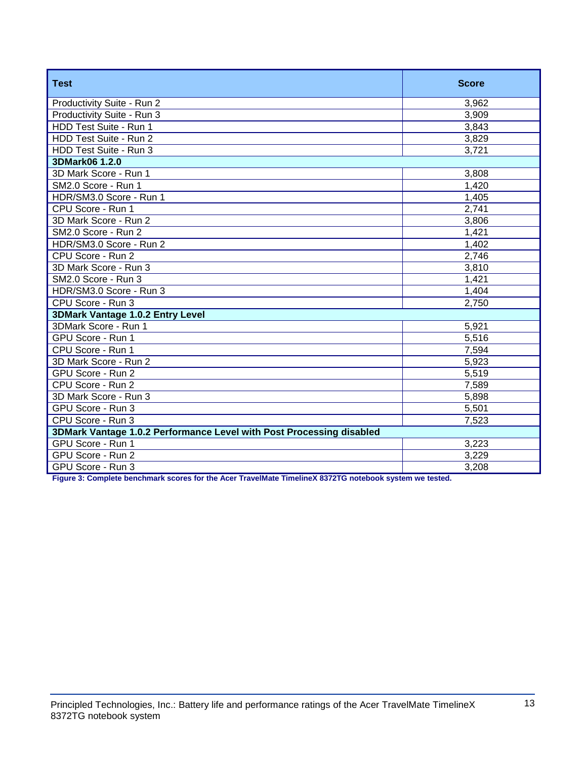| <b>Test</b>                                                          | <b>Score</b> |  |
|----------------------------------------------------------------------|--------------|--|
| Productivity Suite - Run 2                                           | 3,962        |  |
| Productivity Suite - Run 3                                           | 3,909        |  |
| HDD Test Suite - Run 1                                               | 3,843        |  |
| HDD Test Suite - Run 2                                               | 3,829        |  |
| HDD Test Suite - Run 3                                               | 3,721        |  |
| 3DMark06 1.2.0                                                       |              |  |
| 3D Mark Score - Run 1                                                | 3,808        |  |
| SM2.0 Score - Run 1                                                  | 1,420        |  |
| HDR/SM3.0 Score - Run 1                                              | 1,405        |  |
| CPU Score - Run 1                                                    | 2,741        |  |
| 3D Mark Score - Run 2                                                | 3,806        |  |
| SM2.0 Score - Run 2                                                  | 1,421        |  |
| HDR/SM3.0 Score - Run 2                                              | 1,402        |  |
| CPU Score - Run 2                                                    | 2,746        |  |
| 3D Mark Score - Run 3                                                | 3,810        |  |
| SM2.0 Score - Run 3                                                  | 1,421        |  |
| HDR/SM3.0 Score - Run 3                                              | 1,404        |  |
| CPU Score - Run 3                                                    | 2,750        |  |
| 3DMark Vantage 1.0.2 Entry Level                                     |              |  |
| 3DMark Score - Run 1                                                 | 5,921        |  |
| GPU Score - Run 1                                                    | 5,516        |  |
| CPU Score - Run 1                                                    | 7,594        |  |
| 3D Mark Score - Run 2                                                | 5,923        |  |
| GPU Score - Run 2                                                    | 5,519        |  |
| CPU Score - Run 2                                                    | 7,589        |  |
| 3D Mark Score - Run 3                                                | 5,898        |  |
| GPU Score - Run 3                                                    | 5,501        |  |
| CPU Score - Run 3                                                    | 7,523        |  |
| 3DMark Vantage 1.0.2 Performance Level with Post Processing disabled |              |  |
| GPU Score - Run 1                                                    | 3,223        |  |
| GPU Score - Run 2                                                    | 3,229        |  |
| GPU Score - Run 3                                                    | 3,208        |  |

**Figure 3: Complete benchmark scores for the Acer TravelMate TimelineX 8372TG notebook system we tested.**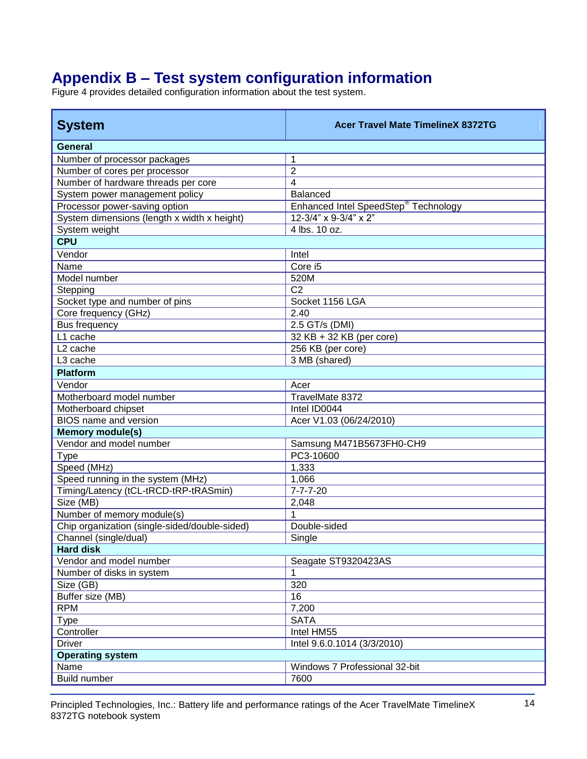# **Appendix B – Test system configuration information**

Figure 4 provides detailed configuration information about the test system.

| <b>System</b>                                 | <b>Acer Travel Mate TimelineX 8372TG</b>         |  |  |
|-----------------------------------------------|--------------------------------------------------|--|--|
| General                                       |                                                  |  |  |
| Number of processor packages                  | 1                                                |  |  |
| Number of cores per processor                 | $\overline{2}$                                   |  |  |
| Number of hardware threads per core           | $\overline{\mathbf{4}}$                          |  |  |
| System power management policy                | <b>Balanced</b>                                  |  |  |
| Processor power-saving option                 | Enhanced Intel SpeedStep <sup>®</sup> Technology |  |  |
| System dimensions (length x width x height)   | 12-3/4" x 9-3/4" x 2"                            |  |  |
| System weight                                 | 4 lbs. 10 oz.                                    |  |  |
| <b>CPU</b>                                    |                                                  |  |  |
| Vendor                                        | Intel                                            |  |  |
| Name                                          | Core i5                                          |  |  |
| Model number                                  | 520M                                             |  |  |
| Stepping                                      | $\overline{C2}$                                  |  |  |
| Socket type and number of pins                | Socket 1156 LGA                                  |  |  |
| Core frequency (GHz)                          | 2.40                                             |  |  |
| Bus frequency                                 | 2.5 GT/s (DMI)                                   |  |  |
| L1 cache                                      | 32 KB + 32 KB (per core)                         |  |  |
| L <sub>2</sub> cache                          | 256 KB (per core)                                |  |  |
| L3 cache                                      | 3 MB (shared)                                    |  |  |
| <b>Platform</b>                               |                                                  |  |  |
| Vendor                                        | Acer                                             |  |  |
| Motherboard model number                      | TravelMate 8372                                  |  |  |
| Motherboard chipset                           | Intel ID0044                                     |  |  |
| BIOS name and version                         | Acer V1.03 (06/24/2010)                          |  |  |
| <b>Memory module(s)</b>                       |                                                  |  |  |
| Vendor and model number                       | Samsung M471B5673FH0-CH9                         |  |  |
| <b>Type</b>                                   | PC3-10600                                        |  |  |
| Speed (MHz)                                   | 1,333                                            |  |  |
| Speed running in the system (MHz)             | 1,066                                            |  |  |
| Timing/Latency (tCL-tRCD-tRP-tRASmin)         | $7 - 7 - 7 - 20$                                 |  |  |
| Size (MB)                                     | 2,048                                            |  |  |
| Number of memory module(s)                    | 1                                                |  |  |
| Chip organization (single-sided/double-sided) | Double-sided                                     |  |  |
| Channel (single/dual)                         | Single                                           |  |  |
| <b>Hard disk</b>                              |                                                  |  |  |
| Vendor and model number                       | Seagate ST9320423AS                              |  |  |
| Number of disks in system                     |                                                  |  |  |
| Size (GB)                                     | 320                                              |  |  |
| Buffer size (MB)                              | 16                                               |  |  |
| <b>RPM</b>                                    | 7,200                                            |  |  |
| Type                                          | <b>SATA</b>                                      |  |  |
| Controller                                    | Intel HM55                                       |  |  |
| <b>Driver</b>                                 | Intel 9.6.0.1014 (3/3/2010)                      |  |  |
| <b>Operating system</b>                       |                                                  |  |  |
| Name                                          | Windows 7 Professional 32-bit                    |  |  |
| <b>Build number</b>                           | 7600                                             |  |  |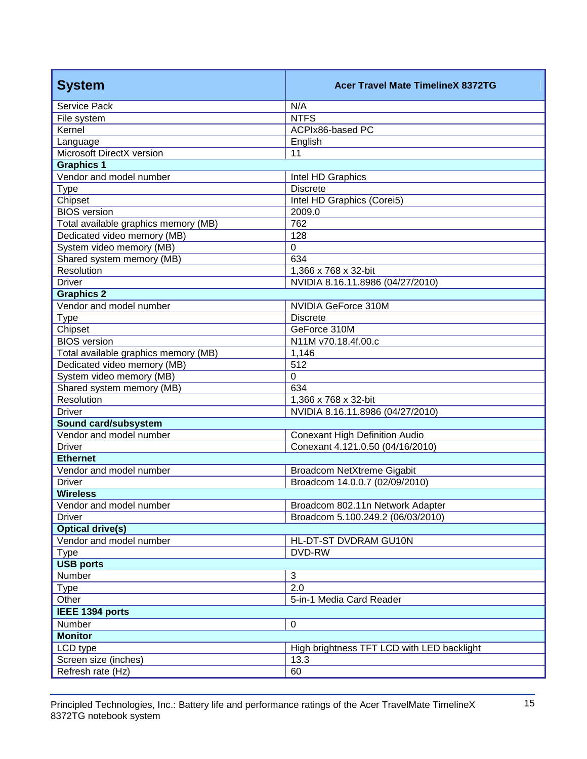| <b>System</b>                        | <b>Acer Travel Mate TimelineX 8372TG</b>   |  |
|--------------------------------------|--------------------------------------------|--|
| Service Pack                         | N/A                                        |  |
| File system                          | <b>NTFS</b>                                |  |
| Kernel                               | ACPIx86-based PC                           |  |
| Language                             | English                                    |  |
| Microsoft DirectX version            | 11                                         |  |
| <b>Graphics 1</b>                    |                                            |  |
| Vendor and model number              | Intel HD Graphics                          |  |
| Type                                 | <b>Discrete</b>                            |  |
| Chipset                              | Intel HD Graphics (Corei5)                 |  |
| <b>BIOS</b> version                  | 2009.0                                     |  |
| Total available graphics memory (MB) | 762                                        |  |
| Dedicated video memory (MB)          | 128                                        |  |
| System video memory (MB)             | $\overline{0}$                             |  |
| Shared system memory (MB)            | 634                                        |  |
| Resolution                           | 1,366 x 768 x 32-bit                       |  |
| <b>Driver</b>                        | NVIDIA 8.16.11.8986 (04/27/2010)           |  |
| <b>Graphics 2</b>                    |                                            |  |
| Vendor and model number              | NVIDIA GeForce 310M                        |  |
| <b>Type</b>                          | <b>Discrete</b>                            |  |
| Chipset                              | GeForce 310M                               |  |
| <b>BIOS</b> version                  | N11M v70.18.4f.00.c                        |  |
| Total available graphics memory (MB) | 1,146                                      |  |
| Dedicated video memory (MB)          | 512                                        |  |
| System video memory (MB)             | $\mathbf 0$                                |  |
| Shared system memory (MB)            | 634                                        |  |
| Resolution                           | 1,366 x 768 x 32-bit                       |  |
| <b>Driver</b>                        | NVIDIA 8.16.11.8986 (04/27/2010)           |  |
| Sound card/subsystem                 |                                            |  |
| Vendor and model number              | <b>Conexant High Definition Audio</b>      |  |
| <b>Driver</b>                        | Conexant 4.121.0.50 (04/16/2010)           |  |
| <b>Ethernet</b>                      |                                            |  |
| Vendor and model number              | Broadcom NetXtreme Gigabit                 |  |
| <b>Driver</b>                        | Broadcom 14.0.0.7 (02/09/2010)             |  |
| <b>Wireless</b>                      |                                            |  |
| Vendor and model number              | Broadcom 802.11n Network Adapter           |  |
| <b>Driver</b>                        | Broadcom 5.100.249.2 (06/03/2010)          |  |
| <b>Optical drive(s)</b>              |                                            |  |
| Vendor and model number              | HL-DT-ST DVDRAM GU10N                      |  |
| <b>Type</b>                          | DVD-RW                                     |  |
| <b>USB ports</b>                     |                                            |  |
| Number                               | 3                                          |  |
| <b>Type</b>                          | 2.0                                        |  |
| Other                                | 5-in-1 Media Card Reader                   |  |
| IEEE 1394 ports                      |                                            |  |
| Number                               | $\mathbf 0$                                |  |
| <b>Monitor</b>                       |                                            |  |
| LCD type                             | High brightness TFT LCD with LED backlight |  |
| Screen size (inches)                 | 13.3                                       |  |
| Refresh rate (Hz)                    | 60                                         |  |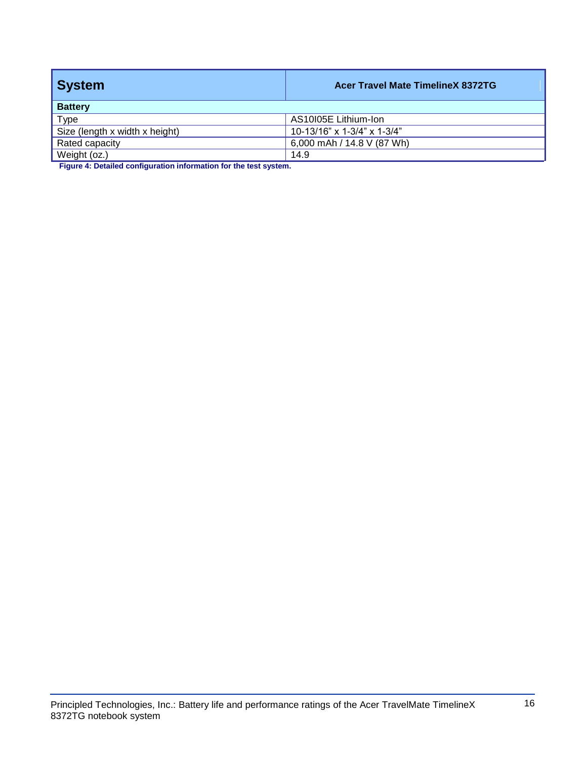| <b>System</b>                  | <b>Acer Travel Mate TimelineX 8372TG</b> |
|--------------------------------|------------------------------------------|
| <b>Battery</b>                 |                                          |
| Type                           | AS10105E Lithium-Ion                     |
| Size (length x width x height) | 10-13/16" x 1-3/4" x 1-3/4"              |
| Rated capacity                 | 6,000 mAh / 14.8 V (87 Wh)               |
| Weight (oz.)                   | 14.9                                     |

**Figure 4: Detailed configuration information for the test system.**